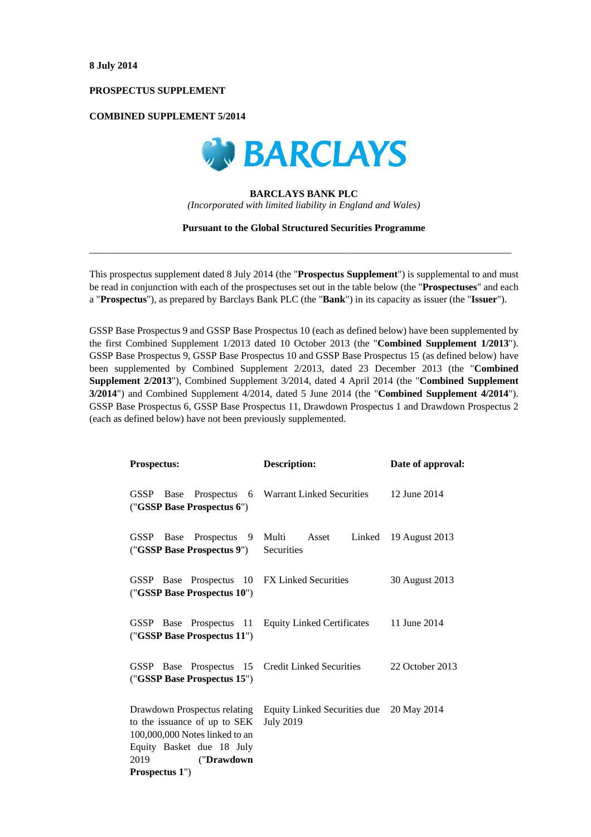# **PROSPECTUS SUPPLEMENT**

# **COMBINED SUPPLEMENT 5/2014**



### **BARCLAYS BANK PLC**

*(Incorporated with limited liability in England and Wales)* 

#### **Pursuant to the Global Structured Securities Programme**

 $\_$  , and the set of the set of the set of the set of the set of the set of the set of the set of the set of the set of the set of the set of the set of the set of the set of the set of the set of the set of the set of th

This prospectus supplement dated 8 July 2014 (the "**Prospectus Supplement**") is supplemental to and must be read in conjunction with each of the prospectuses set out in the table below (the "**Prospectuses**" and each a "**Prospectus**"), as prepared by Barclays Bank PLC (the "**Bank**") in its capacity as issuer (the "**Issuer**").

GSSP Base Prospectus 9 and GSSP Base Prospectus 10 (each as defined below) have been supplemented by the first Combined Supplement 1/2013 dated 10 October 2013 (the "**Combined Supplement 1/2013**"). GSSP Base Prospectus 9, GSSP Base Prospectus 10 and GSSP Base Prospectus 15 (as defined below) have been supplemented by Combined Supplement 2/2013, dated 23 December 2013 (the "**Combined Supplement 2/2013**"), Combined Supplement 3/2014, dated 4 April 2014 (the "**Combined Supplement 3/2014**") and Combined Supplement 4/2014, dated 5 June 2014 (the "**Combined Supplement 4/2014**"). GSSP Base Prospectus 6, GSSP Base Prospectus 11, Drawdown Prospectus 1 and Drawdown Prospectus 2 (each as defined below) have not been previously supplemented.

| <b>Prospectus:</b>                                                                                                                                                    | <b>Description:</b>                                          | Date of approval: |  |
|-----------------------------------------------------------------------------------------------------------------------------------------------------------------------|--------------------------------------------------------------|-------------------|--|
| GSSP<br>Prospectus<br>Base<br>("GSSP Base Prospectus 6")                                                                                                              | 6 Warrant Linked Securities                                  | 12 June 2014      |  |
| Prospectus 9<br>GSSP Base<br>("GSSP Base Prospectus 9")                                                                                                               | Multi Asset<br>Linked<br>Securities                          | 19 August 2013    |  |
| GSSP Base Prospectus 10 FX Linked Securities<br>("GSSP Base Prospectus 10")                                                                                           |                                                              | 30 August 2013    |  |
| GSSP Base Prospectus 11<br>("GSSP Base Prospectus 11")                                                                                                                | <b>Equity Linked Certificates</b>                            | 11 June 2014      |  |
| GSSP Base Prospectus 15 Credit Linked Securities<br>("GSSP Base Prospectus 15")                                                                                       |                                                              | 22 October 2013   |  |
| Drawdown Prospectus relating<br>to the issuance of up to SEK<br>100,000,000 Notes linked to an<br>Equity Basket due 18 July<br>2019<br>("Drawdown")<br>Prospectus 1") | Equity Linked Securities due 20 May 2014<br><b>July 2019</b> |                   |  |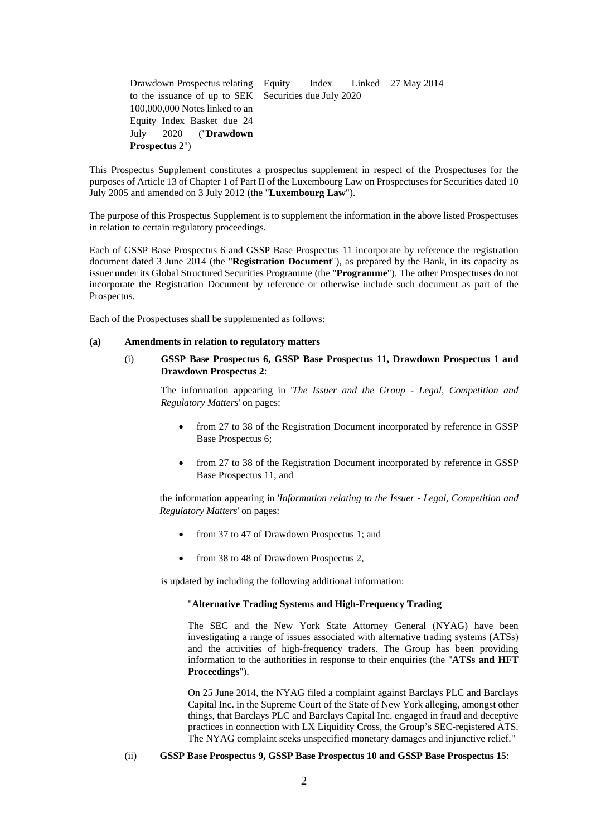| Drawdown Prospectus relating Equity Index Linked 27 May 2014 |  |  |
|--------------------------------------------------------------|--|--|
| to the issuance of up to SEK Securities due July 2020        |  |  |
| 100,000,000 Notes linked to an                               |  |  |
| Equity Index Basket due 24                                   |  |  |
| July 2020 (" <b>Drawdown</b>                                 |  |  |
| <b>Prospectus 2"</b> )                                       |  |  |

This Prospectus Supplement constitutes a prospectus supplement in respect of the Prospectuses for the purposes of Article 13 of Chapter 1 of Part II of the Luxembourg Law on Prospectuses for Securities dated 10 July 2005 and amended on 3 July 2012 (the "**Luxembourg Law**").

The purpose of this Prospectus Supplement is to supplement the information in the above listed Prospectuses in relation to certain regulatory proceedings.

Each of GSSP Base Prospectus 6 and GSSP Base Prospectus 11 incorporate by reference the registration document dated 3 June 2014 (the "**Registration Document**"), as prepared by the Bank, in its capacity as issuer under its Global Structured Securities Programme (the "**Programme**"). The other Prospectuses do not incorporate the Registration Document by reference or otherwise include such document as part of the Prospectus.

Each of the Prospectuses shall be supplemented as follows:

## **(a) Amendments in relation to regulatory matters**

# (i) **GSSP Base Prospectus 6, GSSP Base Prospectus 11, Drawdown Prospectus 1 and Drawdown Prospectus 2**:

The information appearing in '*The Issuer and the Group - Legal, Competition and Regulatory Matters*' on pages:

- from 27 to 38 of the Registration Document incorporated by reference in GSSP Base Prospectus 6;
- from 27 to 38 of the Registration Document incorporated by reference in GSSP Base Prospectus 11, and

the information appearing in '*Information relating to the Issuer - Legal, Competition and Regulatory Matters*' on pages:

- from 37 to 47 of Drawdown Prospectus 1; and
- from 38 to 48 of Drawdown Prospectus 2,

is updated by including the following additional information:

## "**Alternative Trading Systems and High-Frequency Trading**

The SEC and the New York State Attorney General (NYAG) have been investigating a range of issues associated with alternative trading systems (ATSs) and the activities of high-frequency traders. The Group has been providing information to the authorities in response to their enquiries (the "**ATSs and HFT Proceedings**").

On 25 June 2014, the NYAG filed a complaint against Barclays PLC and Barclays Capital Inc. in the Supreme Court of the State of New York alleging, amongst other things, that Barclays PLC and Barclays Capital Inc. engaged in fraud and deceptive practices in connection with LX Liquidity Cross, the Group's SEC-registered ATS. The NYAG complaint seeks unspecified monetary damages and injunctive relief."

# (ii) **GSSP Base Prospectus 9, GSSP Base Prospectus 10 and GSSP Base Prospectus 15**: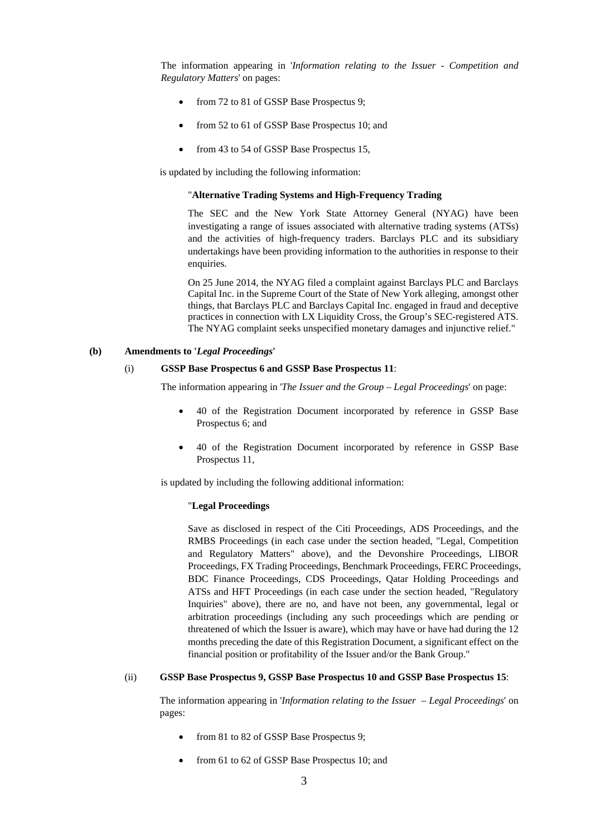The information appearing in '*Information relating to the Issuer - Competition and Regulatory Matters*' on pages:

- from 72 to 81 of GSSP Base Prospectus 9;
- from 52 to 61 of GSSP Base Prospectus 10; and
- from 43 to 54 of GSSP Base Prospectus 15,

is updated by including the following information:

### "**Alternative Trading Systems and High-Frequency Trading**

The SEC and the New York State Attorney General (NYAG) have been investigating a range of issues associated with alternative trading systems (ATSs) and the activities of high-frequency traders. Barclays PLC and its subsidiary undertakings have been providing information to the authorities in response to their enquiries.

On 25 June 2014, the NYAG filed a complaint against Barclays PLC and Barclays Capital Inc. in the Supreme Court of the State of New York alleging, amongst other things, that Barclays PLC and Barclays Capital Inc. engaged in fraud and deceptive practices in connection with LX Liquidity Cross, the Group's SEC-registered ATS. The NYAG complaint seeks unspecified monetary damages and injunctive relief."

### **(b) Amendments to '***Legal Proceedings***'**

# (i) **GSSP Base Prospectus 6 and GSSP Base Prospectus 11**:

The information appearing in '*The Issuer and the Group* – *Legal Proceedings*' on page:

- 40 of the Registration Document incorporated by reference in GSSP Base Prospectus 6; and
- 40 of the Registration Document incorporated by reference in GSSP Base Prospectus 11,

is updated by including the following additional information:

## "**Legal Proceedings**

Save as disclosed in respect of the Citi Proceedings, ADS Proceedings, and the RMBS Proceedings (in each case under the section headed, "Legal, Competition and Regulatory Matters" above), and the Devonshire Proceedings, LIBOR Proceedings, FX Trading Proceedings, Benchmark Proceedings, FERC Proceedings, BDC Finance Proceedings, CDS Proceedings, Qatar Holding Proceedings and ATSs and HFT Proceedings (in each case under the section headed, "Regulatory Inquiries" above), there are no, and have not been, any governmental, legal or arbitration proceedings (including any such proceedings which are pending or threatened of which the Issuer is aware), which may have or have had during the 12 months preceding the date of this Registration Document, a significant effect on the financial position or profitability of the Issuer and/or the Bank Group."

#### (ii) **GSSP Base Prospectus 9, GSSP Base Prospectus 10 and GSSP Base Prospectus 15**:

The information appearing in '*Information relating to the Issuer* – *Legal Proceedings*' on pages:

- from 81 to 82 of GSSP Base Prospectus 9;
- from 61 to 62 of GSSP Base Prospectus 10; and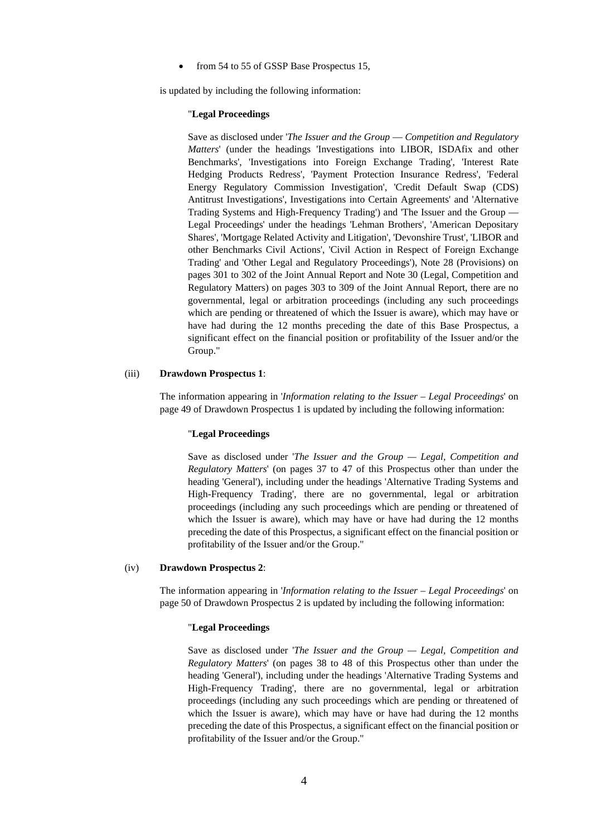from 54 to 55 of GSSP Base Prospectus 15,

is updated by including the following information:

#### "**Legal Proceedings**

Save as disclosed under '*The Issuer and the Group* — *Competition and Regulatory Matters*' (under the headings 'Investigations into LIBOR, ISDAfix and other Benchmarks', 'Investigations into Foreign Exchange Trading', 'Interest Rate Hedging Products Redress', 'Payment Protection Insurance Redress', 'Federal Energy Regulatory Commission Investigation', 'Credit Default Swap (CDS) Antitrust Investigations', Investigations into Certain Agreements' and 'Alternative Trading Systems and High-Frequency Trading') and 'The Issuer and the Group — Legal Proceedings' under the headings 'Lehman Brothers', 'American Depositary Shares', 'Mortgage Related Activity and Litigation', 'Devonshire Trust', 'LIBOR and other Benchmarks Civil Actions', 'Civil Action in Respect of Foreign Exchange Trading' and 'Other Legal and Regulatory Proceedings'), Note 28 (Provisions) on pages 301 to 302 of the Joint Annual Report and Note 30 (Legal, Competition and Regulatory Matters) on pages 303 to 309 of the Joint Annual Report, there are no governmental, legal or arbitration proceedings (including any such proceedings which are pending or threatened of which the Issuer is aware), which may have or have had during the 12 months preceding the date of this Base Prospectus, a significant effect on the financial position or profitability of the Issuer and/or the Group."

# (iii) **Drawdown Prospectus 1**:

The information appearing in '*Information relating to the Issuer* – *Legal Proceedings*' on page 49 of Drawdown Prospectus 1 is updated by including the following information:

### "**Legal Proceedings**

Save as disclosed under '*The Issuer and the Group — Legal, Competition and Regulatory Matters*' (on pages 37 to 47 of this Prospectus other than under the heading 'General'), including under the headings 'Alternative Trading Systems and High-Frequency Trading', there are no governmental, legal or arbitration proceedings (including any such proceedings which are pending or threatened of which the Issuer is aware), which may have or have had during the 12 months preceding the date of this Prospectus, a significant effect on the financial position or profitability of the Issuer and/or the Group."

### (iv) **Drawdown Prospectus 2**:

The information appearing in '*Information relating to the Issuer* – *Legal Proceedings*' on page 50 of Drawdown Prospectus 2 is updated by including the following information:

# "**Legal Proceedings**

Save as disclosed under '*The Issuer and the Group — Legal, Competition and Regulatory Matters*' (on pages 38 to 48 of this Prospectus other than under the heading 'General'), including under the headings 'Alternative Trading Systems and High-Frequency Trading', there are no governmental, legal or arbitration proceedings (including any such proceedings which are pending or threatened of which the Issuer is aware), which may have or have had during the 12 months preceding the date of this Prospectus, a significant effect on the financial position or profitability of the Issuer and/or the Group."